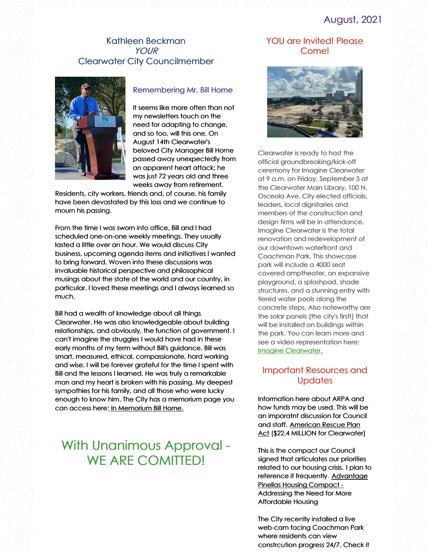## August, 2021

#### Kathleen Beckman YOUR Clearwater City Councilmember



#### Remembering Mr. Bill Horne

It seems like more often than not my newsletters touch on the need for adapting to change, and so too, will this one. On August 14th Clearwater's beloved City Manager Bill Horne passed away unexpectedly from an apparent heart attack; he was just 72 years old and three weeks away from retirement.

Residents, city workers, friends and, of course, his family have been devastated by this loss and we continue to mourn his passing.

From the time I was sworn into office, Bill and I had scheduled one-on-one weekly meetings. They usually lasted a little over an hour. We would discuss City business, upcoming agenda items and initiatives I wanted to bring forward. Woven into these discussions was invaluable historical perspective and philosophical musings about the state of the world and our country, in particular. I loved these meetings and I always learned so much.

Bill had a wealth of knowledge about all things Clearwater. He was also knowledgeable about building relationships, and obviously, the function of government. I can't imagine the struggles I would have had in these early months of my term without Bill's guidance. Bill was smart, measured, ethical, compassionate, hard working and wise. I will be forever grateful for the time I spent with Bill and the lessons I learned. He was truly a remarkable man and my heart is broken with his passing. My deepest sympathies for his family, and all those who were lucky enough to know him. The City has a memorium page you can access here: In [Memorium](https://www.myclearwater.com/government/city-departments/city-manager/in-memoriam-city-manager-bill-horne) Bill Horne.

# With Unanimous Approval - WE ARE COMITTED!

#### YOU are Invited! Please Come!



Clearwater is ready to host the official groundbreaking/kick-off ceremony for Imagine Clearwater at 9 a.m. on Friday, September 3 at the Clearwater Main Library, 100 N. Osceola Ave. City elected officials, leaders, local dignitaries and members of the construction and design firms will be in attendance. Imagine Clearwater is the total renovation and redevelopment of our downtown waterfront and Coachman Park. This showcase park will include a 4000 seat covered amptheater, an expansive playground, a splashpad, shade structures, and a stunning entry with tiered water pools along the concrete steps. Also noteworthy are the solar panels (the city's first!) that will be installed on buildings within the park. You can learn more and see a video representation here: Imagine [Clearwater.](https://www.myclearwater.com/residents/imagine-clearwater-new)

#### Important Resources and **Updates**

Information here about ARPA and how funds may be used. This will be an imporatnt discussion for Council and staff. [American](https://www.nlc.org/covid-19-pandemic-response/arp-local-relief-frequently-asked-questions/) Rescue Plan Act (\$22.4 MILLION for Clearwater)

This is the compact our Council signed that articulates our priorities related to our housing crisis. I plan to reference it frequently. [Advantage](https://www.homesforpinellas.org/compact/) Pinellas Housing Compact - Addressing the Need for More Affordable Housing

The City recently installed a live web-cam facing Coachman Park where residents can view constrcution progress 24/7. Check it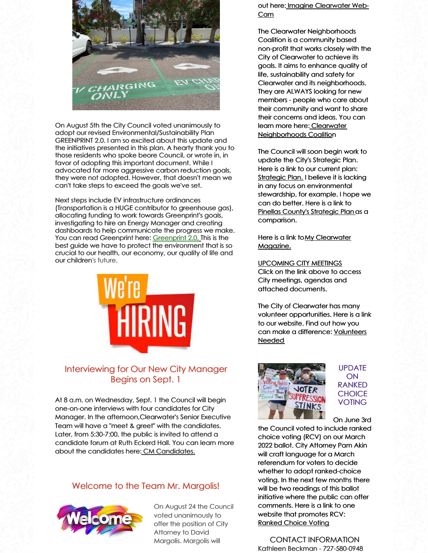

On August 5th the City Council voted unanimously to adopt our revised Environmental/Sustainability Plan GREENPRINT 2.0. I am so excited about this update and the initiatives presented in this plan. A hearty thank you to those residents who spoke beore Council, or wrote in, in favor of adopting this important document. While I advocated for more aggressive carbon reduction goals, they were not adopted. However, that doesn't mean we can't take steps to exceed the goals we've set.

Next steps include EV infrastructure ordinances (Transportation is a HUGE contributor to greenhouse gas), allocating funding to work towards Greenprint's goals, investigating to hire an Energy Manager and creating dashboards to help communicate the progress we make. You can read [Greenprint](https://www.myclearwater.com/government/city-departments/greenprint-clearwater-s-sustainability-plan) here: Greenprint 2.0[,](https://www.myclearwater.com/government/city-departments/greenprint-clearwater-s-sustainability-plan) This is the best guide we have to protect the environment that is so crucial to our health, our economy, our quality of life and our children's future.



### Interviewing for Our New City Manager Begins on Sept. 1

At 8 a.m. on Wednesday, Sept. 1 the Council will begin one-on-one interviews with four candidates for City Manager. In the afternoon,Clearwater's Senior Executive Team will have a "meet & greet" with the candidates. Later, from 5:30-7:00, the public is invited to attend a candidate forum at Ruth Eckerd Hall. You can learn more about the candidates here: CM [Candidates.](https://www.myclearwater.com/government/city-departments/human-resources/apply-for-employment/city-manager-recruitment-2021)

### Welcome to the Team Mr. Margolis!



On August 24 the Council voted unanimously to offer the position of City Attorney to David Margolis. Margolis will

out here: Imagine [Clearwater](https://www.myclearwater.com/news-info/imagine-clearwater/imagine-clearwater-streaming-videos) Web-Cam

The Clearwater Neighborhoods Coalition is a community based non-profit that works closely with the City of Clearwater to achieve its goals. It aims to enhance quality of life, sustainability and safety for Clearwater and its neighborhoods. They are ALWAYS looking for new members - people who care about their community and want to share their concerns and ideas. You can learn more here: Clearwater [Neighborhoods](https://www.clearwaterneighborhoods.org/) Coalit[io](https://www.clearwaterneighborhoods.org/)n

The Council will soon begin work to update the City's Strategic Plan. Here is a link to our current plan: [Strategic](https://www.myclearwater.com/government/city-departments/public-communications/documents-and-publications/20-year-strategic-vision) Plan. I believe it is lacking in any focus on environmental stewardship, for example. I hope we can do better. Here is a link to Pinellas County's [Strategic](http://www.pinellascounty.org/strategicplan/) Plan as a comparison.

Here is a link toMy [Clearwater](https://www.myclearwater.com/government/city-departments/public-communications/documents-and-publications/myclearwater-magazine) Magazine.

[UPCOMING](http://clearwater.granicus.com/ViewPublisher.php?view_id=50) CITY MEETINGS Click on the link above to access City meetings, agendas and attached documents.

The City of Clearwater has many volunteer opportunities. Here is a link to our website. Find out how you can make a [difference:](https://www.myclearwater.com/residents/volunteer) Volunteers Needed



UPDATE ON RANKED **CHOICE VOTING** 

On June 3rd

the Council voted to include ranked choice voting (RCV) on our March 2022 ballot. City Attorney Pam Akin will craft language for a March referendum for voters to decide whether to adopt ranked-choice voting. In the next few months there will be two readings of this ballot initiative where the public can offer comments. Here is a link to one website that promotes RCV: [Ranked](https://www.rcvresources.org/) Choice Voting

CONTACT INFORMATION Kathleen Beckman - 727-580-0948